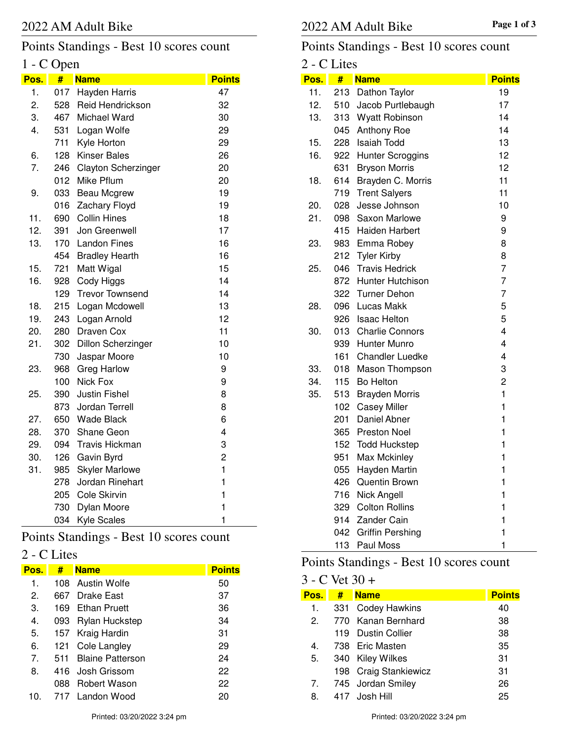## Points Standings - Best 10 scores count

## 1 - C Open

| Pos. | #   | <b>Name</b>               | <b>Points</b>  |
|------|-----|---------------------------|----------------|
| 1.   | 017 | Hayden Harris             | 47             |
| 2.   | 528 | Reid Hendrickson          | 32             |
| 3.   | 467 | Michael Ward              | 30             |
| 4.   | 531 | Logan Wolfe               | 29             |
|      | 711 | Kyle Horton               | 29             |
| 6.   | 128 | <b>Kinser Bales</b>       | 26             |
| 7.   | 246 | Clayton Scherzinger       | 20             |
|      | 012 | Mike Pflum                | 20             |
| 9.   | 033 | Beau Mcgrew               | 19             |
|      | 016 | Zachary Floyd             | 19             |
| 11.  | 690 | <b>Collin Hines</b>       | 18             |
| 12.  | 391 | Jon Greenwell             | 17             |
| 13.  | 170 | <b>Landon Fines</b>       | 16             |
|      | 454 | <b>Bradley Hearth</b>     | 16             |
| 15.  | 721 | Matt Wigal                | 15             |
| 16.  | 928 | Cody Higgs                | 14             |
|      | 129 | <b>Trevor Townsend</b>    | 14             |
| 18.  | 215 | Logan Mcdowell            | 13             |
| 19.  | 243 | Logan Arnold              | 12             |
| 20.  | 280 | Draven Cox                | 11             |
| 21.  | 302 | <b>Dillon Scherzinger</b> | 10             |
|      | 730 | Jaspar Moore              | 10             |
| 23.  | 968 | <b>Greg Harlow</b>        | 9              |
|      | 100 | Nick Fox                  | 9              |
| 25.  | 390 | <b>Justin Fishel</b>      | 8              |
|      | 873 | Jordan Terrell            | 8              |
| 27.  | 650 | <b>Wade Black</b>         | 6              |
| 28.  | 370 | Shane Geon                | 4              |
| 29.  | 094 | <b>Travis Hickman</b>     | 3              |
| 30.  | 126 | Gavin Byrd                | $\overline{2}$ |
| 31.  | 985 | <b>Skyler Marlowe</b>     | $\mathbf{1}$   |
|      | 278 | Jordan Rinehart           | $\mathbf{1}$   |
|      | 205 | Cole Skirvin              | $\mathbf{1}$   |
|      | 730 | Dylan Moore               | $\mathbf{1}$   |
|      | 034 | <b>Kyle Scales</b>        | 1              |

Points Standings - Best 10 scores count

## 2 - C Lites

| Pos. | #    | <b>Name</b>             | <b>Points</b> |
|------|------|-------------------------|---------------|
| 1.   |      | 108 Austin Wolfe        | 50            |
| 2.   | 667  | Drake East              | 37            |
| З.   | 169  | <b>Ethan Pruett</b>     | 36            |
| 4.   | 093  | Rylan Huckstep          | 34            |
| 5.   |      | 157 Kraig Hardin        | 31            |
| 6.   | 121. | Cole Langley            | 29            |
| 7.   | 511  | <b>Blaine Patterson</b> | 24            |
| 8.   |      | 416 Josh Grissom        | 22            |
|      | 088  | <b>Robert Wason</b>     | 22            |
| 10   | 717  | Landon Wood             | 20            |

## Points Standings - Best 10 scores count

| 2 - C Lites |     |                         |               |
|-------------|-----|-------------------------|---------------|
| Pos.        | #   | <b>Name</b>             | <b>Points</b> |
| 11.         | 213 | Dathon Taylor           | 19            |
| 12.         |     | 510 Jacob Purtlebaugh   | 17            |
| 13.         |     | 313 Wyatt Robinson      | 14            |
|             | 045 | <b>Anthony Roe</b>      | 14            |
| 15.         | 228 | Isaiah Todd             | 13            |
| 16.         |     | 922 Hunter Scroggins    | 12            |
|             |     | 631 Bryson Morris       | 12            |
| 18.         | 614 | Brayden C. Morris       | 11            |
|             | 719 | <b>Trent Salyers</b>    | 11            |
| 20.         | 028 | Jesse Johnson           | 10            |
| 21.         |     | 098 Saxon Marlowe       | 9             |
|             |     | 415 Haiden Harbert      | 9             |
| 23.         |     | 983 Emma Robey          | 8             |
|             |     | 212 Tyler Kirby         | 8             |
| 25.         |     | 046 Travis Hedrick      | 7             |
|             |     | 872 Hunter Hutchison    | 7             |
|             |     | 322 Turner Dehon        | 7             |
| 28.         | 096 | Lucas Makk              | 5             |
|             |     | 926 Isaac Helton        | 5             |
| 30.         |     | 013 Charlie Connors     | 4             |
|             |     | 939 Hunter Munro        | 4             |
|             |     | 161 Chandler Luedke     | 4             |
| 33.         | 018 | Mason Thompson          | 3             |
| 34.         | 115 | <b>Bo Helton</b>        | 2             |
| 35.         | 513 | <b>Brayden Morris</b>   | 1             |
|             | 102 | <b>Casey Miller</b>     | 1             |
|             | 201 | Daniel Abner            | 1             |
|             |     | 365 Preston Noel        | 1             |
|             |     | 152 Todd Huckstep       | 1             |
|             | 951 | Max Mckinley            | 1             |
|             | 055 | Hayden Martin           | 1             |
|             | 426 | Quentin Brown           | 1             |
|             | 716 | Nick Angell             | 1             |
|             | 329 | <b>Colton Rollins</b>   | 1             |
|             | 914 | Zander Cain             | 1             |
|             | 042 | <b>Griffin Pershing</b> | 1             |
|             | 113 | Paul Moss               | 1             |

## Points Standings - Best 10 scores count

## 3 - C Vet 30 +

| Pos. | # Name                | <b>Points</b> |
|------|-----------------------|---------------|
| 1.   | 331 Codey Hawkins     | 40            |
| 2.   | 770 Kanan Bernhard    | 38            |
|      | 119 Dustin Collier    | 38            |
| 4.   | 738 Eric Masten       | 35            |
| 5.   | 340 Kiley Wilkes      | 31            |
|      | 198 Craig Stankiewicz | 31            |
|      | 7. 745 Jordan Smiley  | 26            |
| 8.   | 417 Josh Hill         | 25            |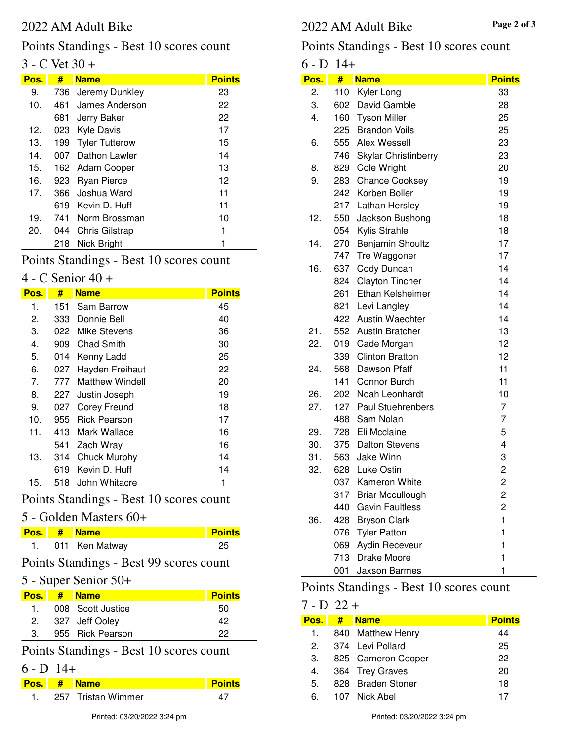## Points Standings - Best 10 scores count

#### $3 - C$  Vet  $30 +$

| Pos. | #   | <b>Name</b>           | <b>Points</b> |
|------|-----|-----------------------|---------------|
| 9.   | 736 | Jeremy Dunkley        | 23            |
| 10.  | 461 | James Anderson        | 22            |
|      | 681 | Jerry Baker           | 22            |
| 12.  |     | 023 Kyle Davis        | 17            |
| 13.  | 199 | <b>Tyler Tutterow</b> | 15            |
| 14.  | 007 | Dathon Lawler         | 14            |
| 15.  |     | 162 Adam Cooper       | 13            |
| 16.  | 923 | <b>Ryan Pierce</b>    | 12            |
| 17.  | 366 | Joshua Ward           | 11            |
|      |     | 619 Kevin D. Huff     | 11            |
| 19.  | 741 | Norm Brossman         | 10            |
| 20.  | 044 | <b>Chris Gilstrap</b> |               |
|      | 218 | Nick Bright           | 1             |

### Points Standings - Best 10 scores count

#### 4 - C Senior 40 +

| Pos. | #    | <b>Name</b>         | <b>Points</b> |
|------|------|---------------------|---------------|
| 1.   | 151  | Sam Barrow          | 45            |
| 2.   | 333. | Donnie Bell         | 40            |
| З.   | 022  | Mike Stevens        | 36            |
| 4.   | 909  | Chad Smith          | 30            |
| 5.   | 014  | Kenny Ladd          | 25            |
| 6.   | 027  | Hayden Freihaut     | 22            |
| 7.   | 777  | Matthew Windell     | 20            |
| 8.   | 227  | Justin Joseph       | 19            |
| 9.   | 027  | Corey Freund        | 18            |
| 10.  | 955  | <b>Rick Pearson</b> | 17            |
| 11.  | 413  | Mark Wallace        | 16            |
|      | 541  | Zach Wray           | 16            |
| 13.  | 314  | Chuck Murphy        | 14            |
|      | 619  | Kevin D. Huff       | 14            |
| 15.  | 518  | John Whitacre       | 1             |

#### Points Standings - Best 10 scores count

#### 5 - Golden Masters 60+

|  | Pos. # Name    | <b>Points</b> |
|--|----------------|---------------|
|  | 011 Ken Matway |               |

Points Standings - Best 99 scores count

#### 5 - Super Senior 50+

|    | <b>Pos.</b> # Name | <b>Points</b> |
|----|--------------------|---------------|
| 1. | 008 Scott Justice  | 50            |
|    | 2. 327 Jeff Ooley  | 42            |
|    | 955 Rick Pearson   | クク            |

### Points Standings - Best 10 scores count

#### $6 - D$  14+

|  | <b>Pos.</b> # Name | <b>Points</b> |
|--|--------------------|---------------|
|  | 257 Tristan Wimmer |               |

#### Points Standings - Best 10 scores count

#### $6 - D$  14+ **Pos. # Name Points** 2. 110 Kyler Long 33 3. 602 David Gamble 28 4. 160 Tyson Miller 25 225 Brandon Voils 25 6. 555 Alex Wessell 23 746 Skylar Christinberry 23 8. 829 Cole Wright 20 9. 283 Chance Cooksey 19 242 Korben Boller 19 217 Lathan Hersley 19 12. 550 Jackson Bushong 18 054 Kylis Strahle 18 14. 270 Benjamin Shoultz 17 747 Tre Waggoner 17 16. 637 Cody Duncan 14 824 Clayton Tincher 14 261 Ethan Kelsheimer 14 821 Levi Langley 14 422 Austin Waechter 14 21. 552 Austin Bratcher 13 22. 019 Cade Morgan 12 339 Clinton Bratton 12 24. 568 Dawson Pfaff 11 141 Connor Burch 11 26. 202 Noah Leonhardt 10 27. 127 Paul Stuehrenbers 7 488 Sam Nolan 7 29. 728 Eli Mcclaine 5 30. 375 Dalton Stevens 4 31. 563 Jake Winn 3 32. 628 Luke Ostin 2 037 Kameron White 2 317 Briar Mccullough 2 440 Gavin Faultless 2 36. 428 Bryson Clark 1 076 Tyler Patton 1 069 Aydin Receveur 1 713 Drake Moore 1 001 Jaxson Barmes 1

#### Points Standings - Best 10 scores count

#### $7 - D$  22 +

| Pos.          | # | <b>Name</b>        | <b>Points</b> |
|---------------|---|--------------------|---------------|
| 1.            |   | 840 Matthew Henry  | 44            |
| $\mathcal{P}$ |   | 374 Levi Pollard   | 25            |
| 3.            |   | 825 Cameron Cooper | 22            |
| 4.            |   | 364 Trey Graves    | 20            |
| 5.            |   | 828 Braden Stoner  | 18            |
| 6.            |   | 107 Nick Abel      | 17            |